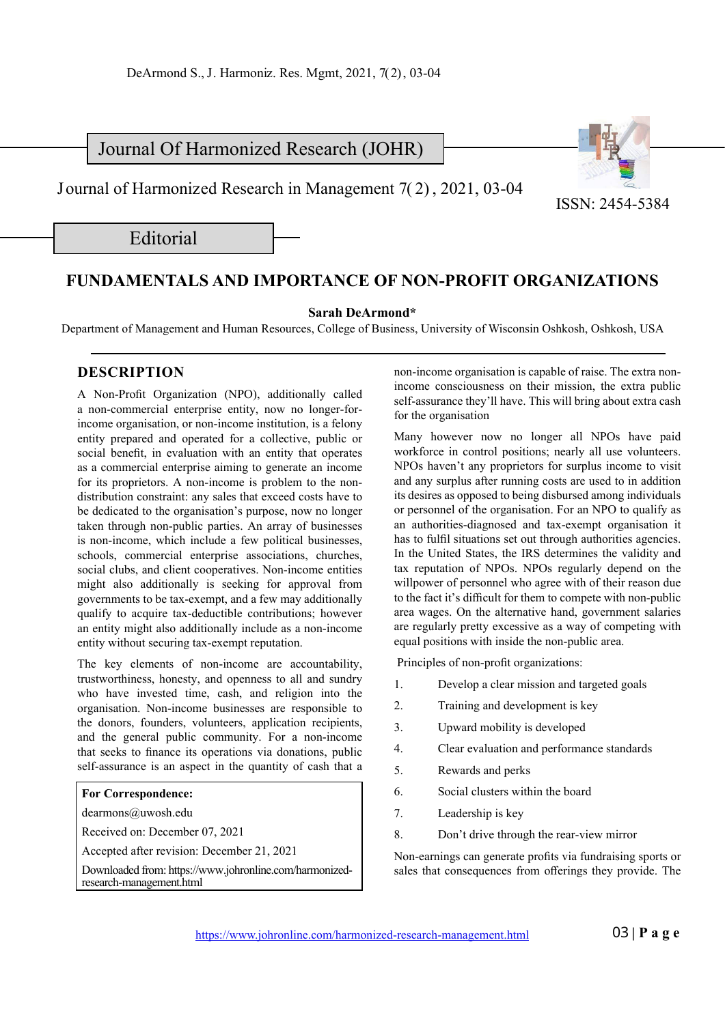Journal Of Harmonized Research (JOHR)

J ournal of Harmonized Research in Management 7( 2) , 2021, 03-04

Editorial

## **FUNDAMENTALS AND IMPORTANCE OF NON-PROFIT ORGANIZATIONS**

**Sarah DeArmond\***

Department of Management and Human Resources, College of Business, University of Wisconsin Oshkosh, Oshkosh, USA

## **DESCRIPTION**

A Non-Profit Organization (NPO), additionally called a non-commercial enterprise entity, now no longer-forincome organisation, or non-income institution, is a felony entity prepared and operated for a collective, public or social benefit, in evaluation with an entity that operates as a commercial enterprise aiming to generate an income for its proprietors. A non-income is problem to the nondistribution constraint: any sales that exceed costs have to be dedicated to the organisation's purpose, now no longer taken through non-public parties. An array of businesses is non-income, which include a few political businesses, schools, commercial enterprise associations, churches, social clubs, and client cooperatives. Non-income entities might also additionally is seeking for approval from governments to be tax-exempt, and a few may additionally qualify to acquire tax-deductible contributions; however an entity might also additionally include as a non-income entity without securing tax-exempt reputation.

The key elements of non-income are accountability, trustworthiness, honesty, and openness to all and sundry who have invested time, cash, and religion into the organisation. Non-income businesses are responsible to the donors, founders, volunteers, application recipients, and the general public community. For a non-income that seeks to finance its operations via donations, public self-assurance is an aspect in the quantity of cash that a

## **For Correspondence:**

dearmons@uwosh.edu

Received on: December 07, 2021

Accepted after revision: December 21, 2021

Downloaded from: https://www.johronline.com/harmonizedresearch-management.html

non-income organisation is capable of raise. The extra nonincome consciousness on their mission, the extra public self-assurance they'll have. This will bring about extra cash for the organisation

ISSN: 2454-5384

Many however now no longer all NPOs have paid workforce in control positions; nearly all use volunteers. NPOs haven't any proprietors for surplus income to visit and any surplus after running costs are used to in addition its desires as opposed to being disbursed among individuals or personnel of the organisation. For an NPO to qualify as an authorities-diagnosed and tax-exempt organisation it has to fulfil situations set out through authorities agencies. In the United States, the IRS determines the validity and tax reputation of NPOs. NPOs regularly depend on the willpower of personnel who agree with of their reason due to the fact it's difficult for them to compete with non-public area wages. On the alternative hand, government salaries are regularly pretty excessive as a way of competing with equal positions with inside the non-public area.

Principles of non-profit organizations:

- 1. Develop a clear mission and targeted goals
- 2. Training and development is key
- 3. Upward mobility is developed
- 4. Clear evaluation and performance standards
- 5. Rewards and perks
- 6. Social clusters within the board
- 7. Leadership is key
- 8. Don't drive through the rear-view mirror

Non-earnings can generate profits via fundraising sports or sales that consequences from offerings they provide. The